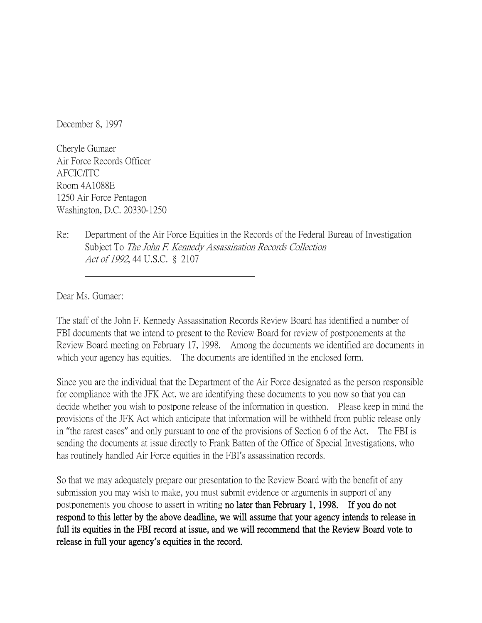December 8, 1997

Cheryle Gumaer Air Force Records Officer AFCIC/ITC Room 4A1088E 1250 Air Force Pentagon Washington, D.C. 20330-1250

Re: Department of the Air Force Equities in the Records of the Federal Bureau of Investigation Subject To The John F. Kennedy Assassination Records Collection Act of 1992, 44 U.S.C. § 2107

Dear Ms. Gumaer:

The staff of the John F. Kennedy Assassination Records Review Board has identified a number of FBI documents that we intend to present to the Review Board for review of postponements at the Review Board meeting on February 17, 1998. Among the documents we identified are documents in which your agency has equities. The documents are identified in the enclosed form.

Since you are the individual that the Department of the Air Force designated as the person responsible for compliance with the JFK Act, we are identifying these documents to you now so that you can decide whether you wish to postpone release of the information in question. Please keep in mind the provisions of the JFK Act which anticipate that information will be withheld from public release only in "the rarest cases" and only pursuant to one of the provisions of Section 6 of the Act. The FBI is sending the documents at issue directly to Frank Batten of the Office of Special Investigations, who has routinely handled Air Force equities in the FBI's assassination records.

So that we may adequately prepare our presentation to the Review Board with the benefit of any submission you may wish to make, you must submit evidence or arguments in support of any postponements you choose to assert in writing no later than February 1, 1998. If you do not respond to this letter by the above deadline, we will assume that your agency intends to release in full its equities in the FBI record at issue, and we will recommend that the Review Board vote to release in full your agency**'**s equities in the record.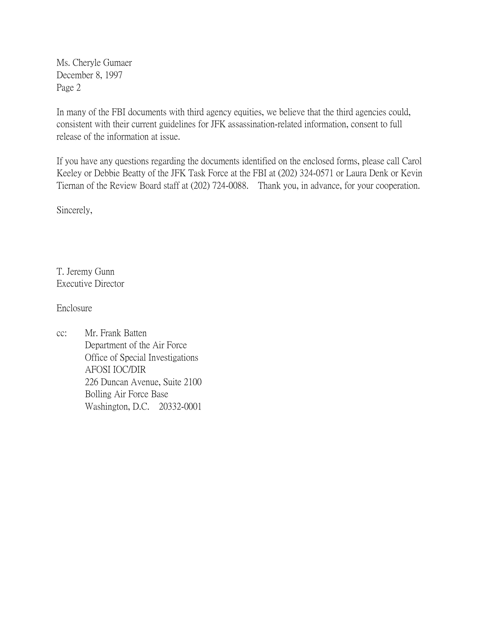Ms. Cheryle Gumaer December 8, 1997 Page 2

In many of the FBI documents with third agency equities, we believe that the third agencies could, consistent with their current guidelines for JFK assassination-related information, consent to full release of the information at issue.

If you have any questions regarding the documents identified on the enclosed forms, please call Carol Keeley or Debbie Beatty of the JFK Task Force at the FBI at (202) 324-0571 or Laura Denk or Kevin Tiernan of the Review Board staff at (202) 724-0088. Thank you, in advance, for your cooperation.

Sincerely,

T. Jeremy Gunn Executive Director

Enclosure

cc: Mr. Frank Batten Department of the Air Force Office of Special Investigations AFOSI IOC/DIR 226 Duncan Avenue, Suite 2100 Bolling Air Force Base Washington, D.C. 20332-0001